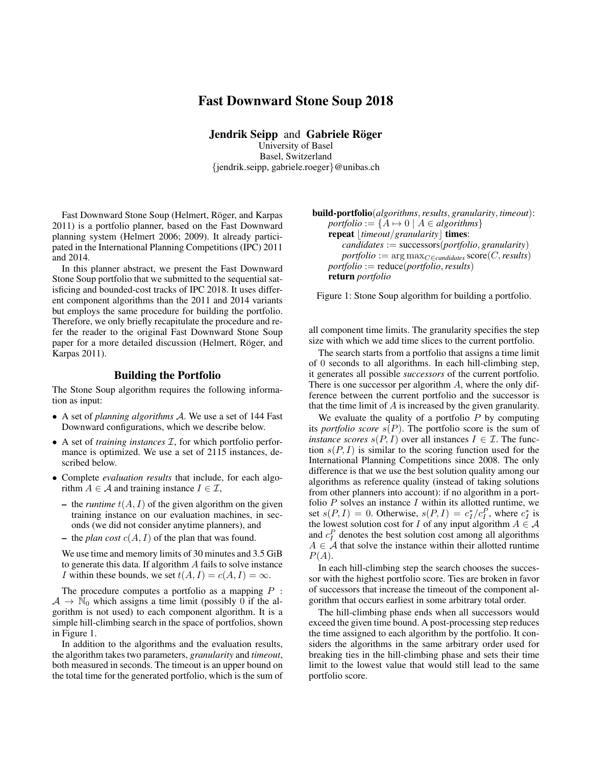# Fast Downward Stone Soup 2018

Jendrik Seipp and Gabriele Röger University of Basel Basel, Switzerland {jendrik.seipp, gabriele.roeger}@unibas.ch

Fast Downward Stone Soup (Helmert, Röger, and Karpas 2011) is a portfolio planner, based on the Fast Downward planning system (Helmert 2006; 2009). It already participated in the International Planning Competitions (IPC) 2011 and 2014.

In this planner abstract, we present the Fast Downward Stone Soup portfolio that we submitted to the sequential satisficing and bounded-cost tracks of IPC 2018. It uses different component algorithms than the 2011 and 2014 variants but employs the same procedure for building the portfolio. Therefore, we only briefly recapitulate the procedure and refer the reader to the original Fast Downward Stone Soup paper for a more detailed discussion (Helmert, Röger, and Karpas 2011).

#### Building the Portfolio

The Stone Soup algorithm requires the following information as input:

- A set of *planning algorithms* A. We use a set of 144 Fast Downward configurations, which we describe below.
- A set of *training instances* I, for which portfolio performance is optimized. We use a set of 2115 instances, described below.
- Complete *evaluation results* that include, for each algorithm  $A \in \mathcal{A}$  and training instance  $I \in \mathcal{I}$ ,
	- the *runtime*  $t(A, I)$  of the given algorithm on the given training instance on our evaluation machines, in seconds (we did not consider anytime planners), and
	- the *plan cost*  $c(A, I)$  of the plan that was found.

We use time and memory limits of 30 minutes and 3.5 GiB to generate this data. If algorithm A fails to solve instance *I* within these bounds, we set  $t(A, I) = c(A, I) = \infty$ .

The procedure computes a portfolio as a mapping  $P$  :  $A \rightarrow \mathbb{N}_0$  which assigns a time limit (possibly 0 if the algorithm is not used) to each component algorithm. It is a simple hill-climbing search in the space of portfolios, shown in Figure 1.

In addition to the algorithms and the evaluation results, the algorithm takes two parameters, *granularity* and *timeout*, both measured in seconds. The timeout is an upper bound on the total time for the generated portfolio, which is the sum of

build-portfolio(*algorithms*,*results*, *granularity*, *timeout*):  $portfolio := \{ A \mapsto 0 \mid A \in algorithms \}$ *repeat* | *timeout*/*granularity* | **times**: *candidates* := successors(*portfolio*, *granularity*)  $portfolio := \arg \max_{C \in candidates} score(C, results)$ *portfolio* := reduce(*portfolio*,*results*) return *portfolio*

Figure 1: Stone Soup algorithm for building a portfolio.

all component time limits. The granularity specifies the step size with which we add time slices to the current portfolio.

The search starts from a portfolio that assigns a time limit of 0 seconds to all algorithms. In each hill-climbing step, it generates all possible *successors* of the current portfolio. There is one successor per algorithm A, where the only difference between the current portfolio and the successor is that the time limit of A is increased by the given granularity.

We evaluate the quality of a portfolio  $P$  by computing its *portfolio score*  $s(P)$ . The portfolio score is the sum of *instance scores*  $s(P, I)$  over all instances  $I \in \mathcal{I}$ . The function  $s(P, I)$  is similar to the scoring function used for the International Planning Competitions since 2008. The only difference is that we use the best solution quality among our algorithms as reference quality (instead of taking solutions from other planners into account): if no algorithm in a portfolio  $P$  solves an instance  $I$  within its allotted runtime, we set  $s(P, I) = 0$ . Otherwise,  $s(P, I) = c_I^*/c_I^P$ , where  $c_I^*$  is the lowest solution cost for I of any input algorithm  $A \in \mathcal{A}$ and  $c_I^P$  denotes the best solution cost among all algorithms  $A \in \mathcal{A}$  that solve the instance within their allotted runtime  $P(A).$ 

In each hill-climbing step the search chooses the successor with the highest portfolio score. Ties are broken in favor of successors that increase the timeout of the component algorithm that occurs earliest in some arbitrary total order.

The hill-climbing phase ends when all successors would exceed the given time bound. A post-processing step reduces the time assigned to each algorithm by the portfolio. It considers the algorithms in the same arbitrary order used for breaking ties in the hill-climbing phase and sets their time limit to the lowest value that would still lead to the same portfolio score.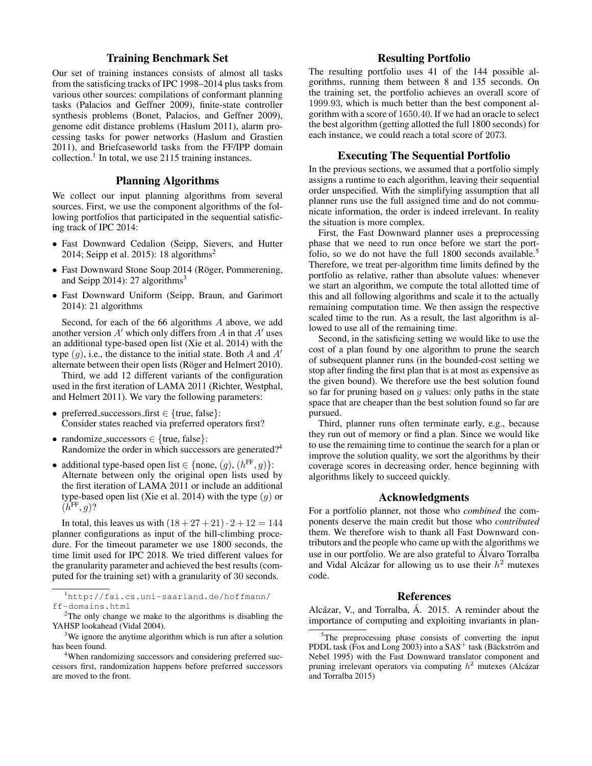# Training Benchmark Set

Our set of training instances consists of almost all tasks from the satisficing tracks of IPC 1998–2014 plus tasks from various other sources: compilations of conformant planning tasks (Palacios and Geffner 2009), finite-state controller synthesis problems (Bonet, Palacios, and Geffner 2009), genome edit distance problems (Haslum 2011), alarm processing tasks for power networks (Haslum and Grastien 2011), and Briefcaseworld tasks from the FF/IPP domain collection.<sup>1</sup> In total, we use 2115 training instances.

### Planning Algorithms

We collect our input planning algorithms from several sources. First, we use the component algorithms of the following portfolios that participated in the sequential satisficing track of IPC 2014:

- Fast Downward Cedalion (Seipp, Sievers, and Hutter 2014; Seipp et al. 2015): 18 algorithms<sup>2</sup>
- Fast Downward Stone Soup 2014 (Röger, Pommerening, and Seipp 2014): 27 algorithms<sup>3</sup>
- Fast Downward Uniform (Seipp, Braun, and Garimort 2014): 21 algorithms

Second, for each of the 66 algorithms A above, we add another version  $A'$  which only differs from  $A$  in that  $A'$  uses an additional type-based open list (Xie et al. 2014) with the type  $(g)$ , i.e., the distance to the initial state. Both A and A' alternate between their open lists (Röger and Helmert 2010).

Third, we add 12 different variants of the configuration used in the first iteration of LAMA 2011 (Richter, Westphal, and Helmert 2011). We vary the following parameters:

- preferred\_successors\_first  $\in$  {true, false}: Consider states reached via preferred operators first?
- randomize\_successors  $\in$  {true, false}: Randomize the order in which successors are generated?<sup>4</sup>
- additional type-based open list  $\in \{\text{none}, (g), (h^{\text{FF}}, g)\}.$ Alternate between only the original open lists used by the first iteration of LAMA 2011 or include an additional type-based open list (Xie et al. 2014) with the type  $(g)$  or  $(h^{\text{FF}}, g)$ ?

In total, this leaves us with  $(18 + 27 + 21) \cdot 2 + 12 = 144$ planner configurations as input of the hill-climbing procedure. For the timeout parameter we use 1800 seconds, the time limit used for IPC 2018. We tried different values for the granularity parameter and achieved the best results (computed for the training set) with a granularity of 30 seconds.

<sup>1</sup>http://fai.cs.uni-saarland.de/hoffmann/ ff-domains.html

# Resulting Portfolio

The resulting portfolio uses 41 of the 144 possible algorithms, running them between 8 and 135 seconds. On the training set, the portfolio achieves an overall score of 1999.93, which is much better than the best component algorithm with a score of 1650.40. If we had an oracle to select the best algorithm (getting allotted the full 1800 seconds) for each instance, we could reach a total score of 2073.

### Executing The Sequential Portfolio

In the previous sections, we assumed that a portfolio simply assigns a runtime to each algorithm, leaving their sequential order unspecified. With the simplifying assumption that all planner runs use the full assigned time and do not communicate information, the order is indeed irrelevant. In reality the situation is more complex.

First, the Fast Downward planner uses a preprocessing phase that we need to run once before we start the portfolio, so we do not have the full  $1800$  seconds available.<sup>5</sup> Therefore, we treat per-algorithm time limits defined by the portfolio as relative, rather than absolute values: whenever we start an algorithm, we compute the total allotted time of this and all following algorithms and scale it to the actually remaining computation time. We then assign the respective scaled time to the run. As a result, the last algorithm is allowed to use all of the remaining time.

Second, in the satisficing setting we would like to use the cost of a plan found by one algorithm to prune the search of subsequent planner runs (in the bounded-cost setting we stop after finding the first plan that is at most as expensive as the given bound). We therefore use the best solution found so far for pruning based on  $q$  values: only paths in the state space that are cheaper than the best solution found so far are pursued.

Third, planner runs often terminate early, e.g., because they run out of memory or find a plan. Since we would like to use the remaining time to continue the search for a plan or improve the solution quality, we sort the algorithms by their coverage scores in decreasing order, hence beginning with algorithms likely to succeed quickly.

### Acknowledgments

For a portfolio planner, not those who *combined* the components deserve the main credit but those who *contributed* them. We therefore wish to thank all Fast Downward contributors and the people who came up with the algorithms we use in our portfolio. We are also grateful to Alvaro Torralba ´ and Vidal Alcázar for allowing us to use their  $h^2$  mutexes code.

#### References

Alcázar, V., and Torralba, Á. 2015. A reminder about the importance of computing and exploiting invariants in plan-

<sup>2</sup>The only change we make to the algorithms is disabling the YAHSP lookahead (Vidal 2004).

 $3\text{We ignore the anytime algorithm which is run after a solution.}$ has been found.

<sup>&</sup>lt;sup>4</sup>When randomizing successors and considering preferred successors first, randomization happens before preferred successors are moved to the front.

<sup>&</sup>lt;sup>5</sup>The preprocessing phase consists of converting the input PDDL task (Fox and Long 2003) into a  $SAS^+$  task (Bäckström and Nebel 1995) with the Fast Downward translator component and pruning irrelevant operators via computing  $h^2$  mutexes (Alcázar and Torralba 2015)